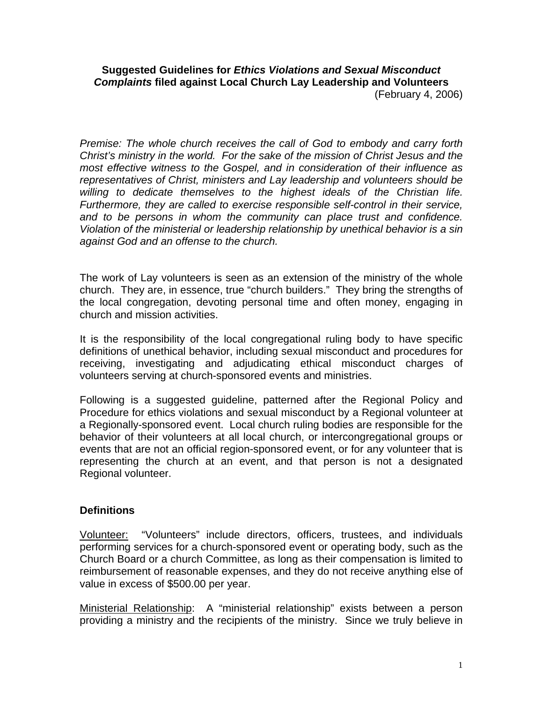## **Suggested Guidelines for** *Ethics Violations and Sexual Misconduct Complaints* **filed against Local Church Lay Leadership and Volunteers**  (February 4, 2006)

*Premise: The whole church receives the call of God to embody and carry forth Christ's ministry in the world. For the sake of the mission of Christ Jesus and the most effective witness to the Gospel, and in consideration of their influence as representatives of Christ, ministers and Lay leadership and volunteers should be willing to dedicate themselves to the highest ideals of the Christian life. Furthermore, they are called to exercise responsible self-control in their service, and to be persons in whom the community can place trust and confidence. Violation of the ministerial or leadership relationship by unethical behavior is a sin against God and an offense to the church.* 

The work of Lay volunteers is seen as an extension of the ministry of the whole church. They are, in essence, true "church builders." They bring the strengths of the local congregation, devoting personal time and often money, engaging in church and mission activities.

It is the responsibility of the local congregational ruling body to have specific definitions of unethical behavior, including sexual misconduct and procedures for receiving, investigating and adjudicating ethical misconduct charges of volunteers serving at church-sponsored events and ministries.

Following is a suggested guideline, patterned after the Regional Policy and Procedure for ethics violations and sexual misconduct by a Regional volunteer at a Regionally-sponsored event. Local church ruling bodies are responsible for the behavior of their volunteers at all local church, or intercongregational groups or events that are not an official region-sponsored event, or for any volunteer that is representing the church at an event, and that person is not a designated Regional volunteer.

## **Definitions**

Volunteer: "Volunteers" include directors, officers, trustees, and individuals performing services for a church-sponsored event or operating body, such as the Church Board or a church Committee, as long as their compensation is limited to reimbursement of reasonable expenses, and they do not receive anything else of value in excess of \$500.00 per year.

Ministerial Relationship: A "ministerial relationship" exists between a person providing a ministry and the recipients of the ministry. Since we truly believe in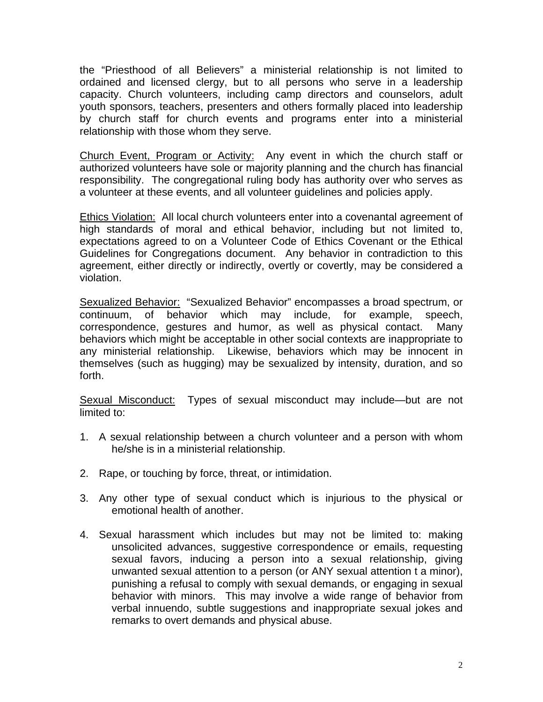the "Priesthood of all Believers" a ministerial relationship is not limited to ordained and licensed clergy, but to all persons who serve in a leadership capacity. Church volunteers, including camp directors and counselors, adult youth sponsors, teachers, presenters and others formally placed into leadership by church staff for church events and programs enter into a ministerial relationship with those whom they serve.

Church Event, Program or Activity: Any event in which the church staff or authorized volunteers have sole or majority planning and the church has financial responsibility. The congregational ruling body has authority over who serves as a volunteer at these events, and all volunteer guidelines and policies apply.

Ethics Violation: All local church volunteers enter into a covenantal agreement of high standards of moral and ethical behavior, including but not limited to, expectations agreed to on a Volunteer Code of Ethics Covenant or the Ethical Guidelines for Congregations document. Any behavior in contradiction to this agreement, either directly or indirectly, overtly or covertly, may be considered a violation.

Sexualized Behavior: "Sexualized Behavior" encompasses a broad spectrum, or continuum, of behavior which may include, for example, speech, correspondence, gestures and humor, as well as physical contact. Many behaviors which might be acceptable in other social contexts are inappropriate to any ministerial relationship. Likewise, behaviors which may be innocent in themselves (such as hugging) may be sexualized by intensity, duration, and so forth.

Sexual Misconduct: Types of sexual misconduct may include—but are not limited to:

- 1. A sexual relationship between a church volunteer and a person with whom he/she is in a ministerial relationship.
- 2. Rape, or touching by force, threat, or intimidation.
- 3. Any other type of sexual conduct which is injurious to the physical or emotional health of another.
- 4. Sexual harassment which includes but may not be limited to: making unsolicited advances, suggestive correspondence or emails, requesting sexual favors, inducing a person into a sexual relationship, giving unwanted sexual attention to a person (or ANY sexual attention t a minor), punishing a refusal to comply with sexual demands, or engaging in sexual behavior with minors. This may involve a wide range of behavior from verbal innuendo, subtle suggestions and inappropriate sexual jokes and remarks to overt demands and physical abuse.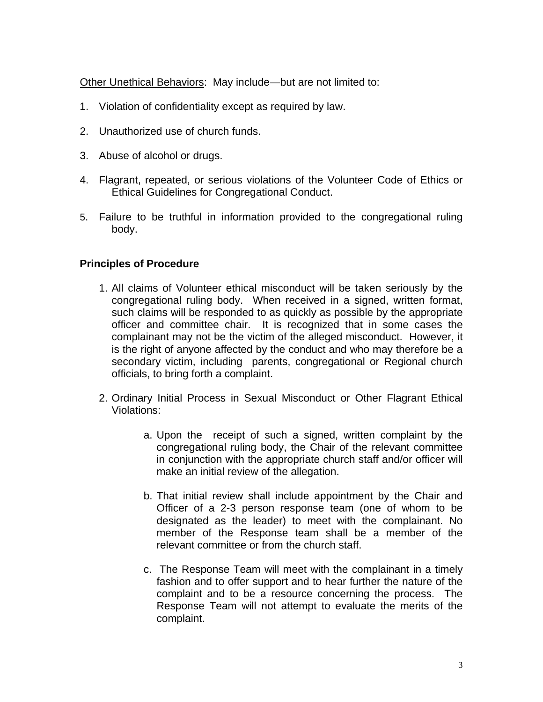Other Unethical Behaviors: May include—but are not limited to:

- 1. Violation of confidentiality except as required by law.
- 2. Unauthorized use of church funds.
- 3. Abuse of alcohol or drugs.
- 4. Flagrant, repeated, or serious violations of the Volunteer Code of Ethics or Ethical Guidelines for Congregational Conduct.
- 5. Failure to be truthful in information provided to the congregational ruling body.

## **Principles of Procedure**

- 1. All claims of Volunteer ethical misconduct will be taken seriously by the congregational ruling body. When received in a signed, written format, such claims will be responded to as quickly as possible by the appropriate officer and committee chair. It is recognized that in some cases the complainant may not be the victim of the alleged misconduct. However, it is the right of anyone affected by the conduct and who may therefore be a secondary victim, including parents, congregational or Regional church officials, to bring forth a complaint.
- 2. Ordinary Initial Process in Sexual Misconduct or Other Flagrant Ethical Violations:
	- a. Upon the receipt of such a signed, written complaint by the congregational ruling body, the Chair of the relevant committee in conjunction with the appropriate church staff and/or officer will make an initial review of the allegation.
	- b. That initial review shall include appointment by the Chair and Officer of a 2-3 person response team (one of whom to be designated as the leader) to meet with the complainant. No member of the Response team shall be a member of the relevant committee or from the church staff.
	- c. The Response Team will meet with the complainant in a timely fashion and to offer support and to hear further the nature of the complaint and to be a resource concerning the process. The Response Team will not attempt to evaluate the merits of the complaint.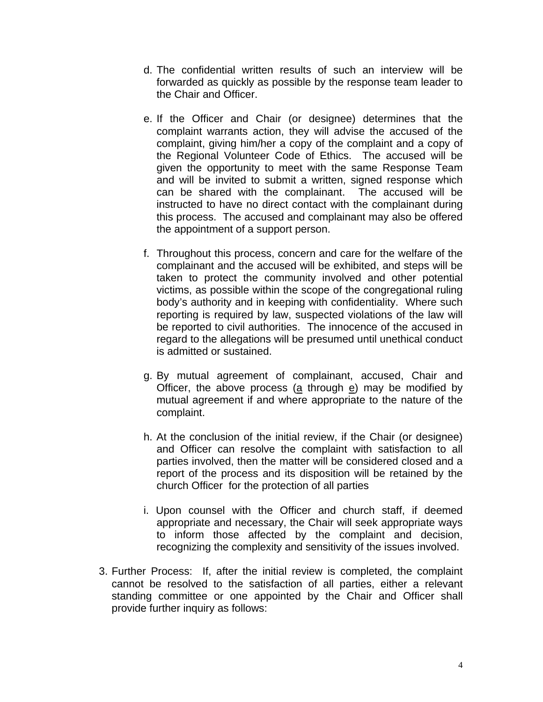- d. The confidential written results of such an interview will be forwarded as quickly as possible by the response team leader to the Chair and Officer.
- e. If the Officer and Chair (or designee) determines that the complaint warrants action, they will advise the accused of the complaint, giving him/her a copy of the complaint and a copy of the Regional Volunteer Code of Ethics. The accused will be given the opportunity to meet with the same Response Team and will be invited to submit a written, signed response which can be shared with the complainant. The accused will be instructed to have no direct contact with the complainant during this process. The accused and complainant may also be offered the appointment of a support person.
- f. Throughout this process, concern and care for the welfare of the complainant and the accused will be exhibited, and steps will be taken to protect the community involved and other potential victims, as possible within the scope of the congregational ruling body's authority and in keeping with confidentiality. Where such reporting is required by law, suspected violations of the law will be reported to civil authorities. The innocence of the accused in regard to the allegations will be presumed until unethical conduct is admitted or sustained.
- g. By mutual agreement of complainant, accused, Chair and Officer, the above process ( $a$  through  $e$ ) may be modified by mutual agreement if and where appropriate to the nature of the complaint.
- h. At the conclusion of the initial review, if the Chair (or designee) and Officer can resolve the complaint with satisfaction to all parties involved, then the matter will be considered closed and a report of the process and its disposition will be retained by the church Officer for the protection of all parties
- i. Upon counsel with the Officer and church staff, if deemed appropriate and necessary, the Chair will seek appropriate ways to inform those affected by the complaint and decision, recognizing the complexity and sensitivity of the issues involved.
- 3. Further Process: If, after the initial review is completed, the complaint cannot be resolved to the satisfaction of all parties, either a relevant standing committee or one appointed by the Chair and Officer shall provide further inquiry as follows: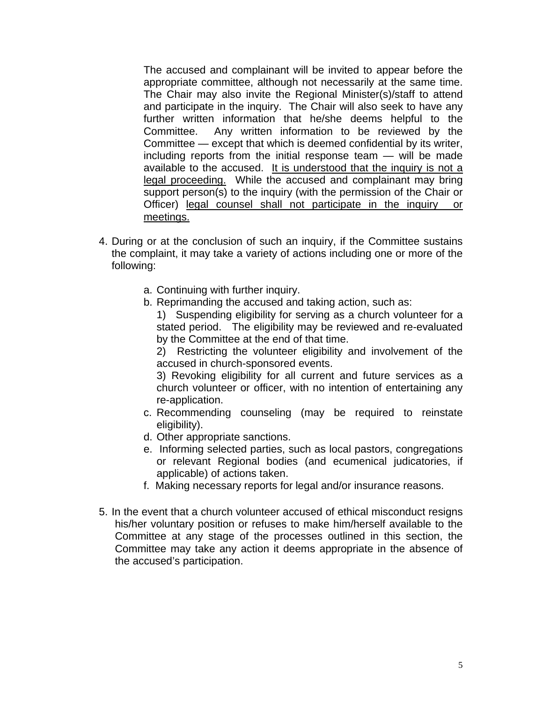The accused and complainant will be invited to appear before the appropriate committee, although not necessarily at the same time. The Chair may also invite the Regional Minister(s)/staff to attend and participate in the inquiry. The Chair will also seek to have any further written information that he/she deems helpful to the Committee. Any written information to be reviewed by the Committee — except that which is deemed confidential by its writer, including reports from the initial response team — will be made available to the accused. It is understood that the inquiry is not a legal proceeding. While the accused and complainant may bring support person(s) to the inquiry (with the permission of the Chair or Officer) legal counsel shall not participate in the inquiry or meetings.

- 4. During or at the conclusion of such an inquiry, if the Committee sustains the complaint, it may take a variety of actions including one or more of the following:
	- a. Continuing with further inquiry.
	- b. Reprimanding the accused and taking action, such as:

 1) Suspending eligibility for serving as a church volunteer for a stated period. The eligibility may be reviewed and re-evaluated by the Committee at the end of that time.

 2) Restricting the volunteer eligibility and involvement of the accused in church-sponsored events.

 3) Revoking eligibility for all current and future services as a church volunteer or officer, with no intention of entertaining any re-application.

- c. Recommending counseling (may be required to reinstate eligibility).
- d. Other appropriate sanctions.
- e. Informing selected parties, such as local pastors, congregations or relevant Regional bodies (and ecumenical judicatories, if applicable) of actions taken.
- f. Making necessary reports for legal and/or insurance reasons.
- 5. In the event that a church volunteer accused of ethical misconduct resigns his/her voluntary position or refuses to make him/herself available to the Committee at any stage of the processes outlined in this section, the Committee may take any action it deems appropriate in the absence of the accused's participation.